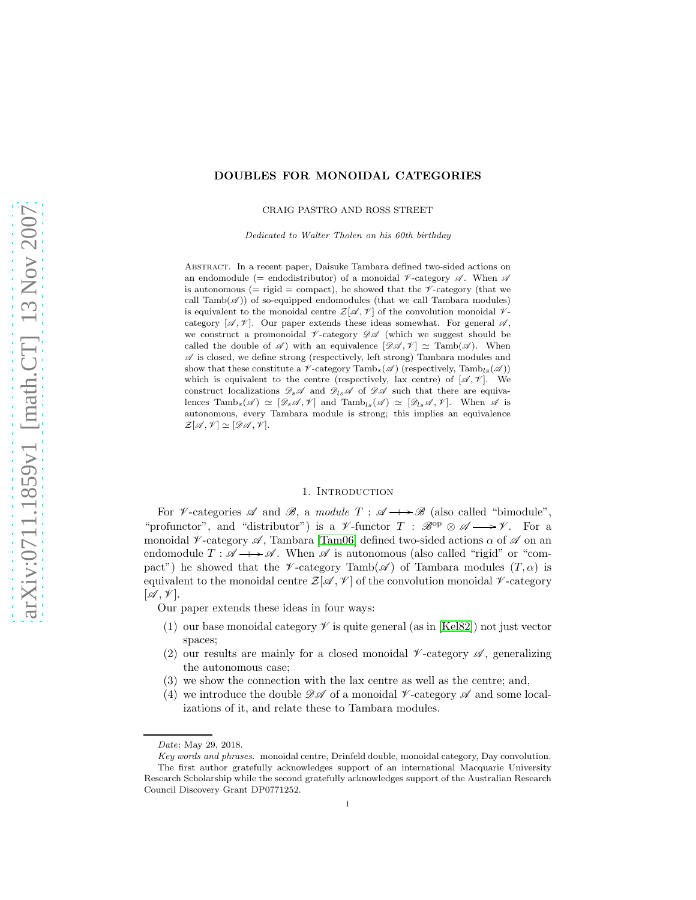## DOUBLES FOR MONOIDAL CATEGORIES

CRAIG PASTRO AND ROSS STREET

Dedicated to Walter Tholen on his 60th birthday

Abstract. In a recent paper, Daisuke Tambara defined two-sided actions on an endomodule (= endodistributor) of a monoidal  $\nu$ -category  $\mathscr A$ . When  $\mathscr A$ is autonomous (= rigid = compact), he showed that the  $\mathscr V$ -category (that we call  $\text{Tamb}(\mathscr{A})$  of so-equipped endomodules (that we call  $\text{Tambara}$  modules) is equivalent to the monoidal centre  $\mathcal{Z}[\mathscr{A}, \mathscr{V}]$  of the convolution monoidal  $\mathscr{V}$ category  $[\mathscr{A}, \mathscr{V}]$ . Our paper extends these ideas somewhat. For general  $\mathscr{A}$ , we construct a promonoidal  $\nu$ -category  $\mathscr{D} \mathscr{A}$  (which we suggest should be called the double of  $\mathscr A$  ) with an equivalence  $[\mathscr{DA}, \mathscr V] \simeq \text{Tamb}(\mathscr A)$ . When  $\mathscr A$  is closed, we define strong (respectively, left strong) Tambara modules and show that these constitute a  $\nu$ -category  $\text{Tamb}_s(\mathscr{A})$  (respectively,  $\text{Tamb}_{ls}(\mathscr{A})$ ) which is equivalent to the centre (respectively, lax centre) of  $[\mathscr{A}, \mathscr{V}]$ . We construct localizations  $\mathscr{D}_s\mathscr{A}$  and  $\mathscr{D}_{ls}\mathscr{A}$  of  $\mathscr{D}\mathscr{A}$  such that there are equivalences Tamb<sub>s</sub>( $\mathscr{A}$ )  $\simeq [\mathscr{D}_s\mathscr{A}, \mathscr{V}]$  and Tamb<sub>ls</sub>( $\mathscr{A}) \simeq [\mathscr{D}_{ls}\mathscr{A}, \mathscr{V}]$ . When  $\mathscr{A}$  is autonomous, every Tambara module is strong; this implies an equivalence  $\mathcal{Z}[\mathcal{A}, \mathcal{V}] \simeq [\mathcal{DA}, \mathcal{V}].$ 

#### 1. INTRODUCTION

For *V*-categories  $\mathscr A$  and  $\mathscr B$ , a *module*  $T : \mathscr A \longrightarrow \mathscr B$  (also called "bimodule", "profunctor", and "distributor") is a  $\mathscr V$ -functor  $T : \mathscr B^{\rm op} \otimes \mathscr A \longrightarrow \mathscr V$ . For a monoidal  $\mathcal V$ -category  $\mathcal A$ , Tambara [\[Tam06\]](#page-12-0) defined two-sided actions  $\alpha$  of  $\mathcal A$  on an endomodule  $T: \mathscr{A} \longrightarrow \mathscr{A}$ . When  $\mathscr{A}$  is autonomous (also called "rigid" or "compact") he showed that the  $\nu$ -category Tamb( $\mathscr A$ ) of Tambara modules  $(T, \alpha)$  is equivalent to the monoidal centre  $\mathcal{Z}[\mathscr{A}, \mathscr{V}]$  of the convolution monoidal  $\mathscr{V}\text{-category}$  $[\mathscr{A}, \mathscr{V}]$ .

Our paper extends these ideas in four ways:

- (1) our base monoidal category  $\mathscr V$  is quite general (as in [\[Kel82\]](#page-12-1)) not just vector spaces;
- (2) our results are mainly for a closed monoidal  $\nu$ -category  $\mathscr{A}$ , generalizing the autonomous case;
- (3) we show the connection with the lax centre as well as the centre; and,
- (4) we introduce the double  $\mathscr{D} \mathscr{A}$  of a monoidal  $\mathscr{V}\text{-category } \mathscr{A}$  and some localizations of it, and relate these to Tambara modules.

Date: May 29, 2018.

Key words and phrases. monoidal centre, Drinfeld double, monoidal category, Day convolution. The first author gratefully acknowledges support of an international Macquarie University Research Scholarship while the second gratefully acknowledges support of the Australian Research Council Discovery Grant DP0771252.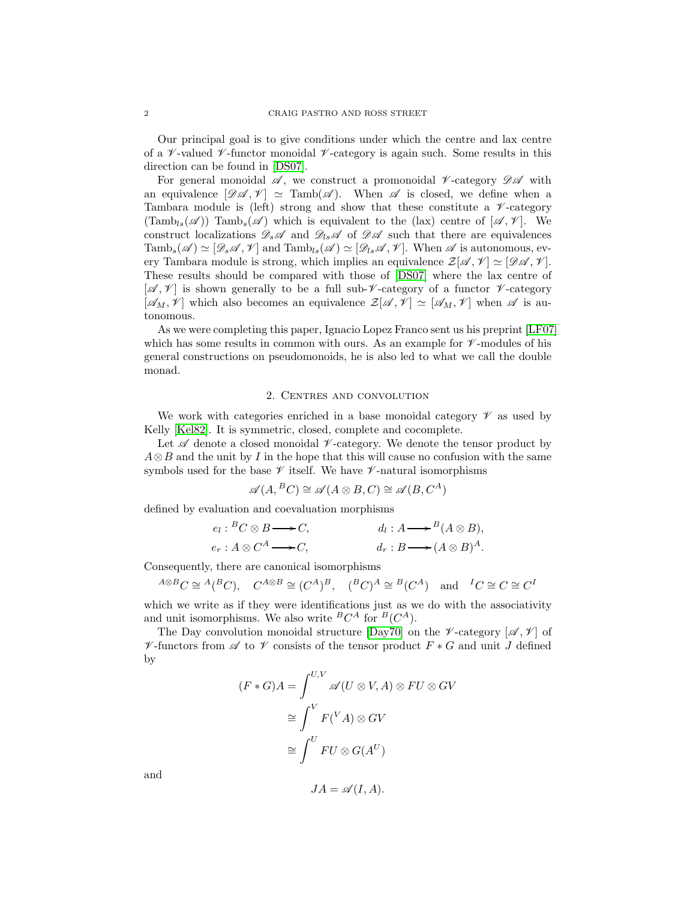Our principal goal is to give conditions under which the centre and lax centre of a  $\mathscr V$ -valued  $\mathscr V$ -functor monoidal  $\mathscr V$ -category is again such. Some results in this direction can be found in [\[DS07\]](#page-12-2).

For general monoidal  $\mathscr A$ , we construct a promonoidal  $\mathscr V$ -category  $\mathscr D\mathscr A$  with an equivalence  $[\mathscr{DA}, \mathscr{V}] \simeq \text{Tamb}(\mathscr{A})$ . When  $\mathscr{A}$  is closed, we define when a Tambara module is (left) strong and show that these constitute a  $\nu$ -category  $(\text{Tamb}_{ls}(\mathscr{A}))$  Tamb $_s(\mathscr{A})$  which is equivalent to the (lax) centre of  $[\mathscr{A}, \mathscr{V}]$ . We construct localizations  $\mathscr{D}_s\mathscr{A}$  and  $\mathscr{D}_{ls}\mathscr{A}$  of  $\mathscr{D}\mathscr{A}$  such that there are equivalences Tamb<sub>s</sub>( $\mathscr{A}$ )  $\simeq$  [ $\mathscr{D}_s\mathscr{A}, \mathscr{V}$ ] and Tamb<sub>ls</sub>( $\mathscr{A}$ )  $\simeq$  [ $\mathscr{D}_l\mathscr{A}, \mathscr{V}$ ]. When  $\mathscr{A}$  is autonomous, every Tambara module is strong, which implies an equivalence  $\mathcal{Z}[\mathscr{A}, \mathscr{V}] \simeq [\mathscr{D}\mathscr{A}, \mathscr{V}]$ . These results should be compared with those of [\[DS07\]](#page-12-2) where the lax centre of  $[\mathscr{A}, \mathscr{V}]$  is shown generally to be a full sub- $\mathscr{V}$ -category of a functor  $\mathscr{V}$ -category  $[\mathscr{A}_M, \mathscr{V}]$  which also becomes an equivalence  $\mathcal{Z}[\mathscr{A}, \mathscr{V}] \simeq [\mathscr{A}_M, \mathscr{V}]$  when  $\mathscr{A}$  is autonomous.

As we were completing this paper, Ignacio Lopez Franco sent us his preprint [\[LF07\]](#page-12-3) which has some results in common with ours. As an example for  $\nu$ -modules of his general constructions on pseudomonoids, he is also led to what we call the double monad.

# 2. Centres and convolution

We work with categories enriched in a base monoidal category  $\mathscr V$  as used by Kelly [\[Kel82\]](#page-12-1). It is symmetric, closed, complete and cocomplete.

Let  $\mathscr A$  denote a closed monoidal  $\mathscr V$ -category. We denote the tensor product by  $A \otimes B$  and the unit by I in the hope that this will cause no confusion with the same symbols used for the base  $\mathscr V$  itself. We have  $\mathscr V$ -natural isomorphisms

$$
\mathscr{A}(A,{}^{B}C) \cong \mathscr{A}(A \otimes B, C) \cong \mathscr{A}(B, C^{A})
$$

defined by evaluation and coevaluation morphisms

$$
e_l: {}^BC \otimes B \longrightarrow C,
$$
  
\n
$$
e_r: A \otimes C^A \longrightarrow C,
$$
  
\n
$$
d_l: A \longrightarrow {}^B(A \otimes B),
$$
  
\n
$$
d_r: B \longrightarrow (A \otimes B)^A.
$$

Consequently, there are canonical isomorphisms

$$
{}^{A\otimes B}C \cong {}^{A}({}^{B}C), \quad C^{A\otimes B} \cong (C^{A})^{B}, \quad ({}^{B}C)^{A} \cong {}^{B}(C^{A}) \quad \text{and} \quad {}^{I}C \cong C \cong C^{I}
$$

which we write as if they were identifications just as we do with the associativity and unit isomorphisms. We also write  ${}^BC^A$  for  ${}^B(C^A)$ .

The Day convolution monoidal structure [\[Day70\]](#page-12-4) on the  $\not\!\!\!\!\!\nu$ -category  $[\mathscr{A}, \mathscr{V}]$  of  $\mathscr V$ -functors from  $\mathscr A$  to  $\mathscr V$  consists of the tensor product  $F * G$  and unit J defined by

$$
(F * G)A = \int^{U,V} \mathscr{A}(U \otimes V, A) \otimes FU \otimes GV
$$

$$
\cong \int^{V} F(^{V}A) \otimes GV
$$

$$
\cong \int^{U} FU \otimes G(A^{U})
$$

and

$$
JA = \mathscr{A}(I, A).
$$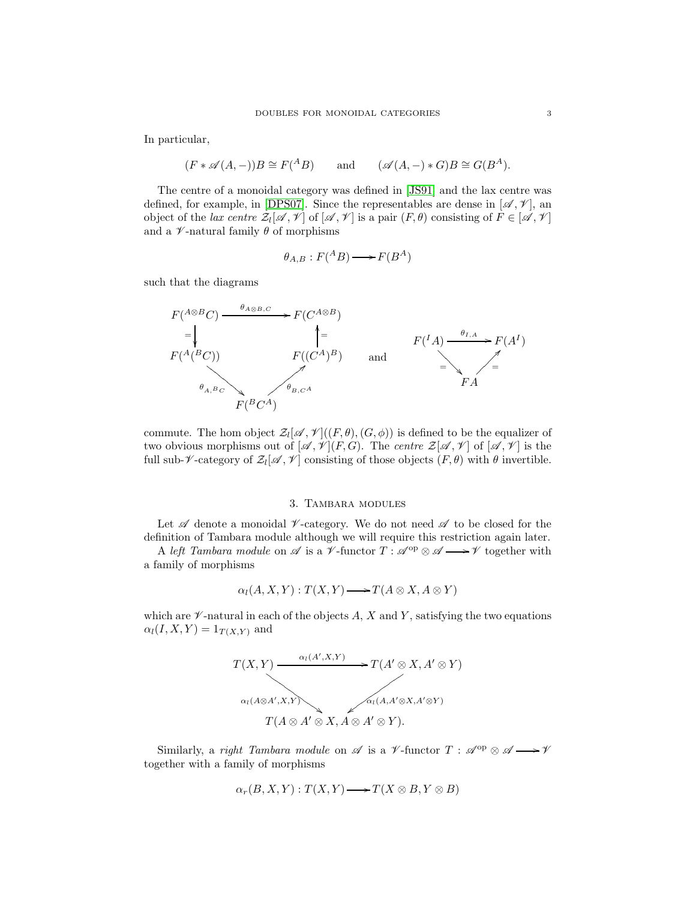In particular,

$$
(F * \mathscr{A}(A, -))B \cong F(^{A}B)
$$
 and  $(\mathscr{A}(A, -) * G)B \cong G(B^{A}).$ 

The centre of a monoidal category was defined in [\[JS91\]](#page-12-5) and the lax centre was defined, for example, in [\[DPS07\]](#page-12-6). Since the representables are dense in  $[\mathscr{A}, \mathscr{V}]$ , an object of the *lax centre*  $\mathcal{Z}_l[\mathscr{A}, \mathscr{V}]$  of  $[\mathscr{A}, \mathscr{V}]$  is a pair  $(F, \theta)$  consisting of  $F \in [\mathscr{A}, \mathscr{V}]$ and a  $\nu$ -natural family  $\theta$  of morphisms

$$
\theta_{A,B}: F(^{A}B) \longrightarrow F(B^{A})
$$

such that the diagrams



commute. The hom object  $\mathcal{Z}_l[\mathscr{A},\mathscr{V}](F,\theta), (G,\phi))$  is defined to be the equalizer of two obvious morphisms out of  $[\mathscr{A}, \mathscr{V}](F, G)$ . The *centre*  $\mathcal{Z}[\mathscr{A}, \mathscr{V}]$  of  $[\mathscr{A}, \mathscr{V}]$  is the full sub- $\nu$ -category of  $\mathcal{Z}_l[\mathscr{A}, \mathscr{V}]$  consisting of those objects  $(F, \theta)$  with  $\theta$  invertible.

#### 3. Tambara modules

Let  $\mathscr A$  denote a monoidal  $\mathscr V$ -category. We do not need  $\mathscr A$  to be closed for the definition of Tambara module although we will require this restriction again later.

A *left Tambara module* on  $\mathscr A$  is a  $\mathscr V$ -functor  $T : \mathscr A^{\mathrm{op}} \otimes \mathscr A \longrightarrow \mathscr V$  together with a family of morphisms

$$
\alpha_l(A, X, Y) : T(X, Y) \longrightarrow T(A \otimes X, A \otimes Y)
$$

which are  $\mathscr V$ -natural in each of the objects A, X and Y, satisfying the two equations  $\alpha_l(I, X, Y) = 1_{T(X, Y)}$  and



Similarly, a *right Tambara module* on  $\mathscr A$  is a  $\mathscr V$ -functor  $T : \mathscr A^{\mathrm{op}} \otimes \mathscr A \longrightarrow \mathscr V$ together with a family of morphisms

$$
\alpha_r(B, X, Y) : T(X, Y) \longrightarrow T(X \otimes B, Y \otimes B)
$$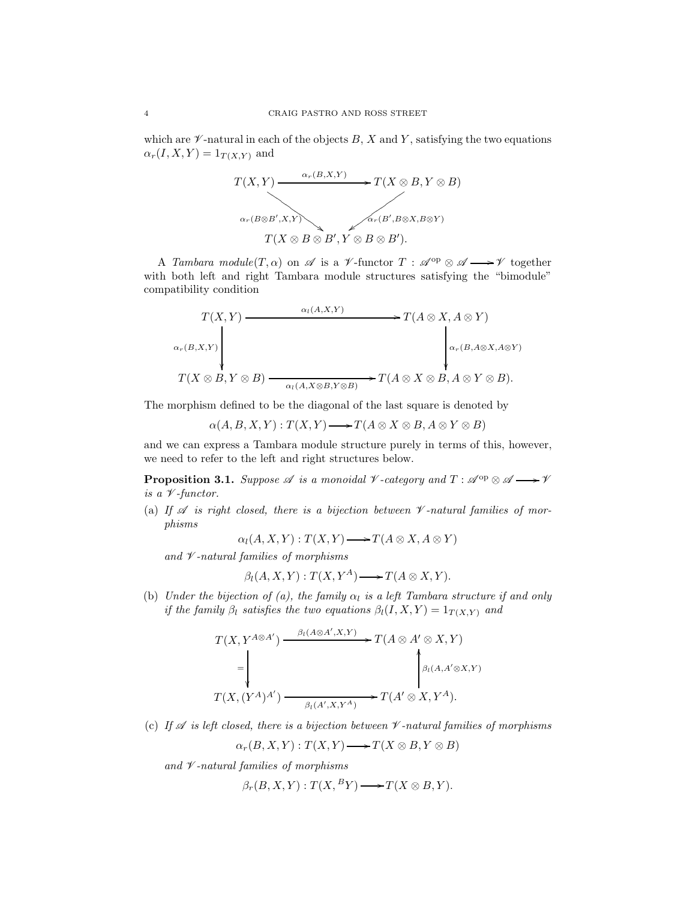which are  $\mathscr V$ -natural in each of the objects B, X and Y, satisfying the two equations  $\alpha_r(I, X, Y) = 1_{T(X, Y)}$  and



A *Tambara module*(T,  $\alpha$ ) on  $\mathscr A$  is a *V*-functor  $T : \mathscr A^{\mathrm{op}} \otimes \mathscr A \longrightarrow \mathscr V$  together with both left and right Tambara module structures satisfying the "bimodule" compatibility condition

$$
T(X,Y) \longrightarrow T(A \otimes X, A \otimes Y)
$$
  
\n
$$
\downarrow \qquad \qquad \downarrow \qquad \qquad \downarrow \qquad \qquad \downarrow \qquad \qquad \downarrow \qquad \qquad \downarrow \qquad \downarrow \qquad \downarrow \qquad \downarrow \qquad \downarrow \qquad \downarrow \qquad \downarrow \qquad \downarrow \qquad \downarrow \qquad \downarrow \qquad \downarrow \qquad \downarrow \qquad \downarrow \qquad \downarrow \qquad \downarrow \qquad \downarrow \qquad \downarrow \qquad \downarrow \qquad \downarrow \qquad \downarrow \qquad \downarrow \qquad \downarrow \qquad \downarrow \qquad \downarrow \qquad \downarrow \qquad \downarrow \qquad \downarrow \qquad \downarrow \qquad \downarrow \qquad \downarrow \qquad \downarrow \qquad \downarrow \qquad \downarrow \qquad \downarrow \qquad \downarrow \qquad \downarrow \qquad \downarrow \qquad \downarrow \qquad \downarrow \qquad \downarrow \qquad \downarrow \qquad \downarrow \qquad \downarrow \qquad \downarrow \qquad \downarrow \qquad \downarrow \qquad \downarrow \qquad \downarrow \qquad \downarrow \qquad \downarrow \qquad \downarrow \qquad \downarrow \qquad \downarrow \qquad \downarrow \qquad \downarrow \qquad \downarrow \qquad \downarrow \qquad \downarrow \qquad \downarrow \qquad \downarrow \qquad \downarrow \qquad \downarrow \qquad \downarrow \qquad \downarrow \qquad \downarrow \qquad \downarrow \qquad \downarrow \qquad \downarrow \qquad \downarrow \qquad \downarrow \qquad \downarrow \qquad \downarrow \qquad \downarrow \qquad \downarrow \qquad \downarrow \qquad \downarrow \qquad \downarrow \qquad \downarrow \qquad \downarrow \qquad \downarrow \qquad \downarrow \qquad \downarrow \qquad \downarrow \qquad \downarrow \qquad \downarrow \qquad \downarrow \qquad \downarrow \qquad \downarrow \qquad \downarrow \qquad \downarrow \qquad \downarrow \qquad \downarrow \qquad \downarrow \qquad \downarrow \qquad \downarrow \qquad \downarrow \qquad \downarrow \qquad \downarrow \qquad \downarrow \qquad \downarrow \qquad \downarrow \qquad \downarrow \qquad \downarrow \qquad \downarrow \qquad \downarrow \qquad \downarrow \qquad \downarrow \qquad \downarrow \qquad \downarrow \qquad \downarrow \qquad \downarrow \qquad \downarrow \qquad \downarrow \qquad \downarrow \qquad \
$$

The morphism defined to be the diagonal of the last square is denoted by

$$
\alpha(A, B, X, Y) : T(X, Y) \longrightarrow T(A \otimes X \otimes B, A \otimes Y \otimes B)
$$

and we can express a Tambara module structure purely in terms of this, however, we need to refer to the left and right structures below.

<span id="page-3-0"></span>**Proposition 3.1.** *Suppose*  $\mathscr A$  *is a monoidal*  $\mathscr V$ *-category and*  $T : \mathscr A^{\mathrm{op}} \otimes \mathscr A \longrightarrow \mathscr V$ *is a* V *-functor.*

(a) If  $\mathscr A$  *is right closed, there is a bijection between*  $\mathscr V$ -natural families of mor*phisms*

 $\alpha_l(A, X, Y) : T(X, Y) \longrightarrow T(A \otimes X, A \otimes Y)$ 

*and* V *-natural families of morphisms*

$$
\beta_l(A, X, Y) : T(X, Y^A) \longrightarrow T(A \otimes X, Y).
$$

(b) *Under the bijection of (a), the family*  $\alpha_l$  *is a left Tambara structure if and only if the family*  $\beta_l$  *satisfies the two equations*  $\beta_l(I, X, Y) = 1_{T(X, Y)}$  *and* 

$$
T(X, Y^{A \otimes A'}) \xrightarrow{\beta_l(A \otimes A', X, Y)} T(A \otimes A' \otimes X, Y)
$$
  
=
$$
\downarrow^{\beta_l(A, A' \otimes X, Y)}
$$
  

$$
T(X, (Y^A)^{A'}) \xrightarrow{\beta_l(A', X, Y^A)} T(A' \otimes X, Y^A).
$$

(c) If  $\mathscr A$  *is left closed, there is a bijection between*  $\mathscr V$ -natural families of morphisms

$$
\alpha_r(B, X, Y) : T(X, Y) \longrightarrow T(X \otimes B, Y \otimes B)
$$

*and* V *-natural families of morphisms*

$$
\beta_r(B, X, Y) : T(X, {^B Y}) \longrightarrow T(X \otimes B, Y).
$$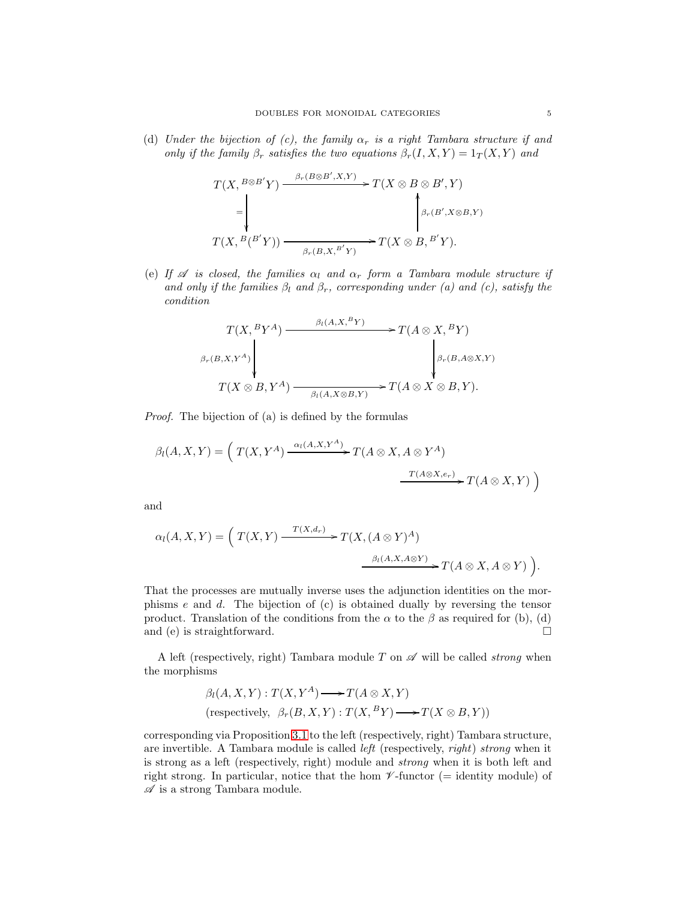(d) *Under the bijection of (c), the family*  $\alpha_r$  *is a right Tambara structure if and only if the family*  $\beta_r$  *satisfies the two equations*  $\beta_r(I, X, Y) = 1_T(X, Y)$  *and* 

$$
T(X, {^{B\otimes B'}}Y) \xrightarrow{\beta_r(B\otimes B',X,Y)} T(X\otimes B\otimes B',Y)
$$
  
=
$$
\downarrow^{\beta_r(B',X\otimes B,Y)}
$$
  

$$
T(X, {^{B}}(B'Y)) \xrightarrow{\beta_r(B,X, {^{B'}}Y)} T(X\otimes B, {^{B'}}Y).
$$

(e) If  $\mathscr A$  *is closed, the families*  $\alpha_l$  *and*  $\alpha_r$  *form a Tambara module structure if and only if the families*  $\beta_l$  *and*  $\beta_r$ *, corresponding under (a) and (c), satisfy the condition*

$$
T(X,{}^{B}Y^{A}) \xrightarrow{\beta_{l}(A,X,{}^{B}Y)} T(A \otimes X,{}^{B}Y)
$$
  
\n
$$
\beta_{r}(B,X,Y^{A}) \downarrow \qquad \qquad \downarrow \beta_{r}(B,A \otimes X,Y)
$$
  
\n
$$
T(X \otimes B, Y^{A}) \xrightarrow{\beta_{l}(A,X \otimes B,Y)} T(A \otimes X \otimes B, Y).
$$

*Proof.* The bijection of (a) is defined by the formulas

$$
\beta_l(A, X, Y) = \left( T(X, Y^A) \xrightarrow{\alpha_l(A, X, Y^A)} T(A \otimes X, A \otimes Y^A) \xrightarrow{T(A \otimes X, e_r)} T(A \otimes X, Y) \right)
$$

and

$$
\alpha_l(A, X, Y) = \left( T(X, Y) \xrightarrow{T(X, d_r)} T(X, (A \otimes Y)^A) \xrightarrow{\beta_l(A, X, A \otimes Y)} T(A \otimes X, A \otimes Y) \right).
$$

That the processes are mutually inverse uses the adjunction identities on the morphisms e and d. The bijection of (c) is obtained dually by reversing the tensor product. Translation of the conditions from the  $\alpha$  to the  $\beta$  as required for (b), (d) and (e) is straightforward.  $\square$ 

A left (respectively, right) Tambara module  $T$  on  $\mathscr A$  will be called *strong* when the morphisms

$$
\beta_l(A, X, Y) : T(X, Y^A) \longrightarrow T(A \otimes X, Y)
$$
  
(respectively,  $\beta_r(B, X, Y) : T(X, {^B Y}) \longrightarrow T(X \otimes B, Y))$ 

corresponding via Proposition [3.1](#page-3-0) to the left (respectively, right) Tambara structure, are invertible. A Tambara module is called *left* (respectively, *right*) *strong* when it is strong as a left (respectively, right) module and *strong* when it is both left and right strong. In particular, notice that the hom  $\mathscr V$ -functor (= identity module) of  $\mathscr A$  is a strong Tambara module.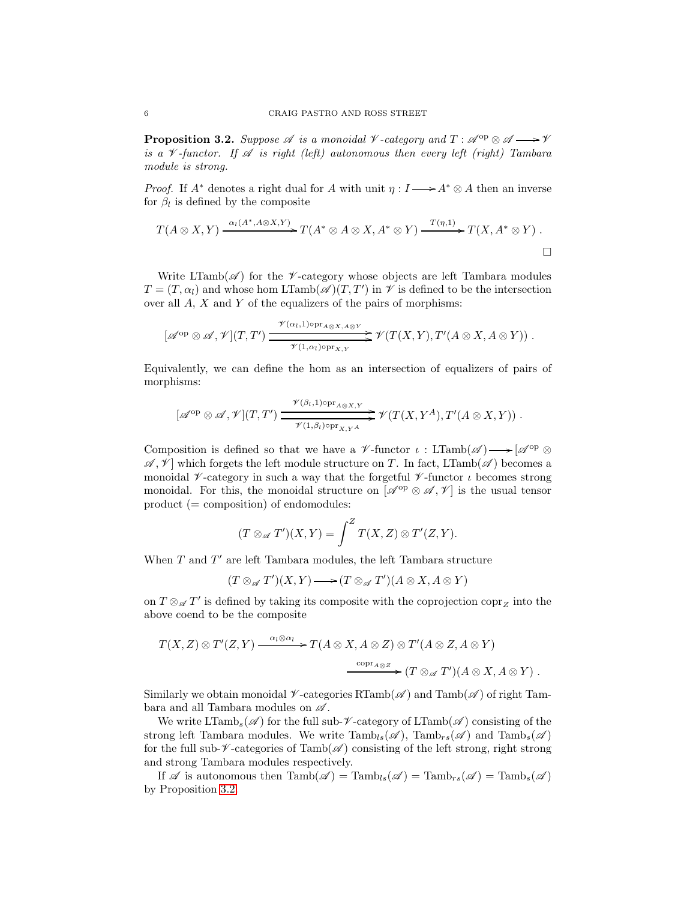<span id="page-5-0"></span>**Proposition 3.2.** Suppose  $\mathscr A$  is a monoidal  $\mathscr V$ -category and  $T : \mathscr A^{\mathrm{op}} \otimes \mathscr A \longrightarrow \mathscr V$ *is a*  $\mathcal V$ -functor. If  $\mathcal A$  *is right (left) autonomous then every left (right) Tambara module is strong.*

*Proof.* If  $A^*$  denotes a right dual for A with unit  $\eta : I \longrightarrow A^* \otimes A$  then an inverse for  $\beta_l$  is defined by the composite

$$
T(A\otimes X,Y)\xrightarrow{\alpha_l(A^*,A\otimes X,Y)} T(A^*\otimes A\otimes X,A^*\otimes Y)\xrightarrow{T(\eta,1)} T(X,A^*\otimes Y).
$$

Write LTamb( $\mathscr A$ ) for the  $\mathscr V$ -category whose objects are left Tambara modules  $T = (T, \alpha_l)$  and whose hom LTamb $(\mathscr{A})(T, T')$  in  $\mathscr{V}$  is defined to be the intersection over all A, X and Y of the equalizers of the pairs of morphisms:

$$
[\mathscr{A}^{op} \otimes \mathscr{A}, \mathscr{V}](T,T') \xrightarrow{\mathscr{V}(\alpha_l,1) \circ pr_{A \otimes X, A \otimes Y}} \mathscr{V}(T(X,Y),T'(A \otimes X, A \otimes Y)) .
$$

Equivalently, we can define the hom as an intersection of equalizers of pairs of morphisms:

$$
[\mathscr{A}^{op} \otimes \mathscr{A}, \mathscr{V}](T,T') \xrightarrow{\mathscr{V}(\beta_l,1) \circ pr_{A \otimes X,Y}} \mathscr{V}(T(X,Y^A),T'(A \otimes X,Y)).
$$

Composition is defined so that we have a  $\mathscr V$ -functor  $\iota$  : LTamb $(\mathscr A) \longrightarrow [\mathscr A^{\rm op} \otimes$  $\mathscr{A}, \mathscr{V}$  which forgets the left module structure on T. In fact, LTamb( $\mathscr{A}$ ) becomes a monoidal  $\mathcal V$ -category in such a way that the forgetful  $\mathcal V$ -functor  $\iota$  becomes strong monoidal. For this, the monoidal structure on  $[\mathscr{A}^{op} \otimes \mathscr{A}, \mathscr{V}]$  is the usual tensor product (= composition) of endomodules:

$$
(T\otimes_{\mathscr A}T')(X,Y)=\int^Z T(X,Z)\otimes T'(Z,Y).
$$

When  $T$  and  $T'$  are left Tambara modules, the left Tambara structure

 $(T \otimes_{\mathscr{A}} T'(X, Y) \longrightarrow (T \otimes_{\mathscr{A}} T')(A \otimes X, A \otimes Y)$ 

on  $T \otimes_{\mathscr{A}} T'$  is defined by taking its composite with the coprojection  $\text{copr}_Z$  into the above coend to be the composite

$$
T(X,Z) \otimes T'(Z,Y) \xrightarrow{\alpha_l \otimes \alpha_l} T(A \otimes X, A \otimes Z) \otimes T'(A \otimes Z, A \otimes Y)
$$
  

$$
\xrightarrow{\text{copr}_{A \otimes Z}} (T \otimes_{\mathscr{A}} T')(A \otimes X, A \otimes Y).
$$

Similarly we obtain monoidal  $\nu$ -categories RTamb $(\mathscr{A})$  and Tamb $(\mathscr{A})$  of right Tambara and all Tambara modules on  $\mathscr A$ .

We write  $LTamb_s(\mathscr{A})$  for the full sub- $\mathscr{V}\text{-category of }\mathrm{LTamb}(\mathscr{A})$  consisting of the strong left Tambara modules. We write  $\text{Tamb}_{ls}(\mathscr{A})$ ,  $\text{Tamb}_{rs}(\mathscr{A})$  and  $\text{Tamb}_{s}(\mathscr{A})$ for the full sub- $\nu$ -categories of Tamb( $\nu$ ) consisting of the left strong, right strong and strong Tambara modules respectively.

If  $\mathscr A$  is autonomous then  $\text{Tamb}(\mathscr A) = \text{Tamb}_{ls}(\mathscr A) = \text{Tamb}_{rs}(\mathscr A) = \text{Tamb}_{sl}(\mathscr A)$ by Proposition [3.2.](#page-5-0)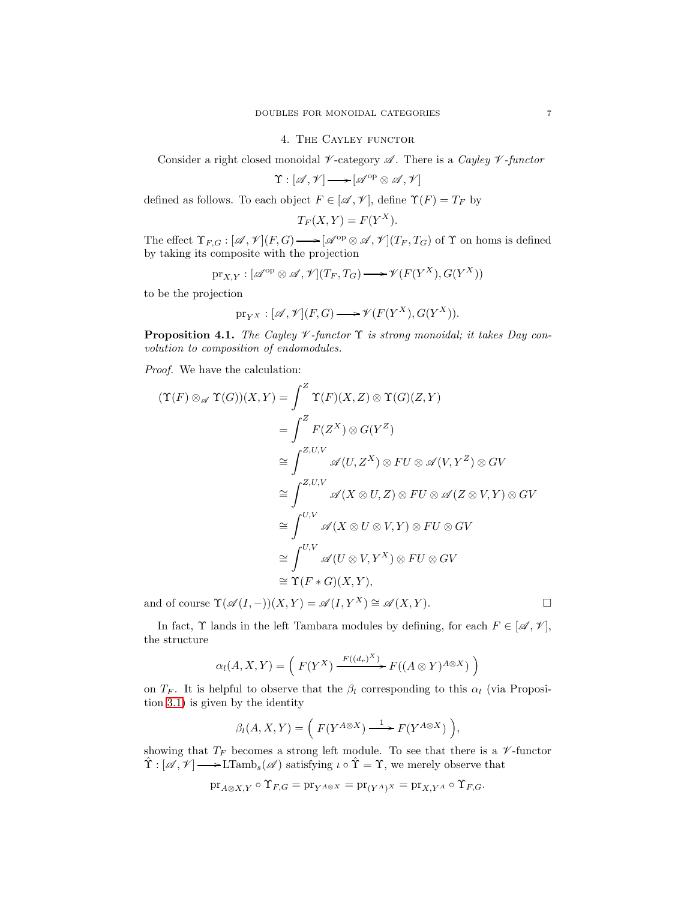#### 4. The Cayley functor

Consider a right closed monoidal  $\nu$ -category  $\mathscr A$ . There is a *Cayley*  $\nu$ -functor

 $\Upsilon : [\mathscr{A}, \mathscr{V}] \longrightarrow [\mathscr{A}^{\mathrm{op}} \otimes \mathscr{A}, \mathscr{V}]$ 

defined as follows. To each object  $F \in [\mathcal{A}, \mathcal{V}]$ , define  $\Upsilon(F) = T_F$  by

$$
T_F(X, Y) = F(Y^X).
$$

The effect  $\Upsilon_{F,G}: [\mathscr{A},\mathscr{V}](F,G) \longrightarrow [\mathscr{A}^{op} \otimes \mathscr{A},\mathscr{V}](T_F, T_G)$  of  $\Upsilon$  on homs is defined by taking its composite with the projection

$$
\mathrm{pr}_{X,Y} : [\mathscr{A}^{\mathrm{op}} \otimes \mathscr{A}, \mathscr{V}](T_F, T_G) \longrightarrow \mathscr{V}(F(Y^X), G(Y^X))
$$

to be the projection

$$
\mathrm{pr}_{Y^X} : [\mathscr{A}, \mathscr{V}](F, G) \longrightarrow \mathscr{V}(F(Y^X), G(Y^X)).
$$

Proposition 4.1. *The Cayley* V *-functor* Υ *is strong monoidal; it takes Day convolution to composition of endomodules.*

*Proof.* We have the calculation:

$$
(\Upsilon(F) \otimes_{\mathscr{A}} \Upsilon(G))(X,Y) = \int^{Z} \Upsilon(F)(X,Z) \otimes \Upsilon(G)(Z,Y)
$$
  
\n
$$
= \int^{Z} F(Z^{X}) \otimes G(Y^{Z})
$$
  
\n
$$
\cong \int^{Z,U,V} \mathscr{A}(U,Z^{X}) \otimes FU \otimes \mathscr{A}(V,Y^{Z}) \otimes GV
$$
  
\n
$$
\cong \int^{Z,U,V} \mathscr{A}(X \otimes U,Z) \otimes FU \otimes \mathscr{A}(Z \otimes V,Y) \otimes GV
$$
  
\n
$$
\cong \int^{U,V} \mathscr{A}(X \otimes U \otimes V,Y) \otimes FU \otimes GV
$$
  
\n
$$
\cong \int^{U,V} \mathscr{A}(U \otimes V,Y^{X}) \otimes FU \otimes GV
$$
  
\n
$$
\cong \Upsilon(F * G)(X,Y),
$$

and of course  $\Upsilon(\mathscr{A}(I,-))(X,Y) = \mathscr{A}(I,Y^X) \cong \mathscr{A}(X,Y)$ .

In fact,  $\Upsilon$  lands in the left Tambara modules by defining, for each  $F \in [\mathscr{A}, \mathscr{V}]$ , the structure

$$
\alpha_l(A, X, Y) = \left( F(Y^X) \xrightarrow{F((d_r)^X)} F((A \otimes Y)^{A \otimes X}) \right)
$$

on  $T_F$ . It is helpful to observe that the  $\beta_l$  corresponding to this  $\alpha_l$  (via Proposition [3.1\)](#page-3-0) is given by the identity

$$
\beta_l(A, X, Y) = \left( F(Y^{A \otimes X}) \xrightarrow{1} F(Y^{A \otimes X}) \right),
$$

showing that  $T_F$  becomes a strong left module. To see that there is a  $\mathscr V\text{-}\mathrm{functor}$  $\hat{\Upsilon} : [\mathscr{A}, \mathscr{V}] \longrightarrow \mathrm{LTamb}_{s}(\mathscr{A})$  satisfying  $\iota \circ \hat{\Upsilon} = \Upsilon$ , we merely observe that

$$
\mathrm{pr}_{A\otimes X,Y}\circ \Upsilon_{F,G}=\mathrm{pr}_{Y^{A\otimes X}}=\mathrm{pr}_{(Y^{A})^{X}}=\mathrm{pr}_{X,Y^{A}}\circ \Upsilon_{F,G}.
$$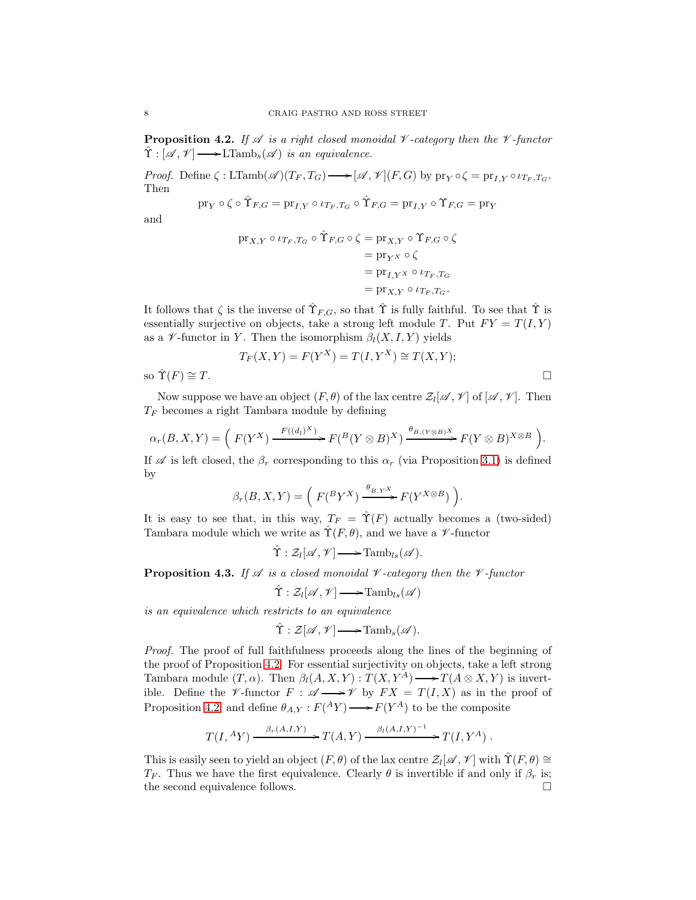<span id="page-7-0"></span>**Proposition 4.2.** *If*  $\mathscr A$  *is a right closed monoidal*  $\mathscr V$ -category then the  $\mathscr V$ -functor  $\hat{\Upsilon}: [\mathscr{A}, \mathscr{V}] \longrightarrow \text{LTamb}_{s}(\mathscr{A})$  *is an equivalence.* 

*Proof.* Define  $\zeta : \text{LTamb}(\mathscr{A})(T_F, T_G) \longrightarrow [\mathscr{A}, \mathscr{V}](F, G)$  by  $\text{pr}_Y \circ \zeta = \text{pr}_{I, Y} \circ \iota_{T_F, T_G}$ . Then

$$
\mathop{\mathrm{pr}}\nolimits_Y\circ\zeta\circ\hat{\Upsilon}_{F,G}=\mathop{\mathrm{pr}}\nolimits_{I,Y}\circ\iota_{T_F,T_G}\circ\hat{\Upsilon}_{F,G}=\mathop{\mathrm{pr}}\nolimits_{I,Y}\circ\Upsilon_{F,G}=\mathop{\mathrm{pr}}\nolimits_Y
$$

and

$$
\begin{aligned} \operatorname{pr}_{X,Y} \circ \iota_{T_F,T_G} \circ \hat{\Upsilon}_{F,G} \circ \zeta &= \operatorname{pr}_{X,Y} \circ \Upsilon_{F,G} \circ \zeta \\ &= \operatorname{pr}_{Y^X} \circ \zeta \\ &= \operatorname{pr}_{I,Y^X} \circ \iota_{T_F,T_G} \\ &= \operatorname{pr}_{X,Y} \circ \iota_{T_F,T_G}. \end{aligned}
$$

It follows that  $\zeta$  is the inverse of  $\hat{\Upsilon}_{F,G}$ , so that  $\hat{\Upsilon}$  is fully faithful. To see that  $\hat{\Upsilon}$  is essentially surjective on objects, take a strong left module T. Put  $FY = T(I, Y)$ as a  $\mathscr V$ -functor in Y. Then the isomorphism  $\beta_l(X, I, Y)$  yields

$$
T_F(X, Y) = F(Y^X) = T(I, Y^X) \cong T(X, Y);
$$
 so  $\hat{T}(F) \cong T$ .

Now suppose we have an object  $(F, \theta)$  of the lax centre  $\mathcal{Z}_l[\mathscr{A}, \mathscr{V}]$  of  $[\mathscr{A}, \mathscr{V}]$ . Then  $T_F$  becomes a right Tambara module by defining

$$
\alpha_r(B, X, Y) = \left( F(Y^X) \xrightarrow{F((d_l)^X)} F(^B(Y \otimes B)^X) \xrightarrow{\theta_{B, (Y \otimes B)^X}} F(Y \otimes B)^{X \otimes B} \right).
$$

If  $\mathscr A$  is left closed, the  $\beta_r$  corresponding to this  $\alpha_r$  (via Proposition [3.1\)](#page-3-0) is defined by

$$
\beta_r(B, X, Y) = \left( F(^B Y^X) \xrightarrow{\theta_{B, Y} X} F(Y^{X \otimes B}) \right).
$$

It is easy to see that, in this way,  $T_F = \hat{\Upsilon}(F)$  actually becomes a (two-sided) Tambara module which we write as  $\hat{\Upsilon}(F, \theta)$ , and we have a *V*-functor

 $\hat{\Upsilon}: \mathcal{Z}_l[\mathscr{A}, \mathscr{V}] \longrightarrow \mathrm{Tamb}_{ls}(\mathscr{A}).$ 

**Proposition 4.3.** If  $\mathscr A$  *is a closed monoidal*  $\mathscr V$ -category then the  $\mathscr V$ -functor

$$
\hat{\Upsilon}: \mathcal{Z}_l[\mathscr{A}, \mathscr{V}] \longrightarrow \mathrm{Tamb}_{ls}(\mathscr{A})
$$

*is an equivalence which restricts to an equivalence*

$$
\hat{\Upsilon}: \mathcal{Z}[\mathscr{A}, \mathscr{V}] \longrightarrow \mathrm{Tamb}_s(\mathscr{A}).
$$

*Proof.* The proof of full faithfulness proceeds along the lines of the beginning of the proof of Proposition [4.2.](#page-7-0) For essential surjectivity on objects, take a left strong Tambara module  $(T, \alpha)$ . Then  $\beta_l(A, X, Y) : T(X, Y^A) \longrightarrow T(A \otimes X, Y)$  is invertible. Define the *V*-functor  $F : \mathscr{A} \longrightarrow \mathscr{V}$  by  $FX = T(I, X)$  as in the proof of Proposition [4.2,](#page-7-0) and define  $\theta_{A,Y}: F({}^AY) \longrightarrow F(Y^A)$  to be the composite

$$
T(I, {}^{A}Y) \xrightarrow{\beta_r(A,I,Y)} T(A,Y) \xrightarrow{\beta_l(A,I,Y)^{-1}} T(I,Y^A) .
$$

This is easily seen to yield an object  $(F, \theta)$  of the lax centre  $\mathcal{Z}_l[\mathscr{A}, \mathscr{V}]$  with  $\hat{\Upsilon}(F, \theta) \cong$  $T_F$ . Thus we have the first equivalence. Clearly  $\theta$  is invertible if and only if  $\beta_r$  is; the second equivalence follows.  $\hfill \square$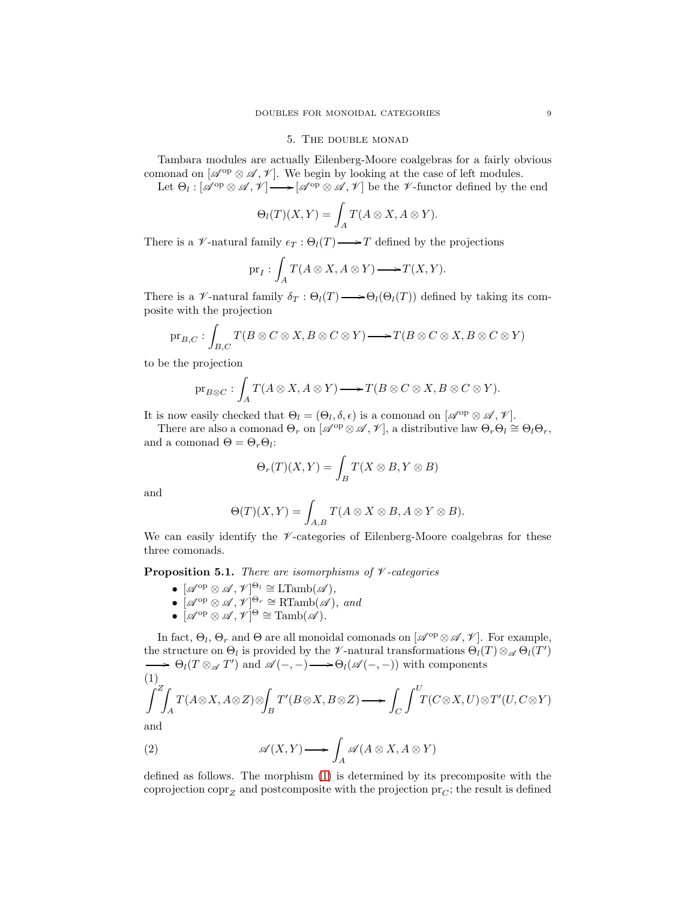# 5. The double monad

Tambara modules are actually Eilenberg-Moore coalgebras for a fairly obvious comonad on  $[\mathscr{A}^{op} \otimes \mathscr{A}, \mathscr{V}]$ . We begin by looking at the case of left modules.

Let  $\Theta_l : [\mathscr{A}^{\mathrm{op}} \otimes \mathscr{A}, \mathscr{V}] \longrightarrow [\mathscr{A}^{\mathrm{op}} \otimes \mathscr{A}, \mathscr{V}]$  be the  $\mathscr{V}\text{-functor defined by the end}$ 

$$
\Theta_l(T)(X,Y) = \int_A T(A \otimes X, A \otimes Y).
$$

There is a  $\mathscr V$ -natural family  $\epsilon_T : \Theta_l(T) \longrightarrow T$  defined by the projections

$$
\mathrm{pr}_{I}: \int_{A} T(A \otimes X, A \otimes Y) \longrightarrow T(X, Y).
$$

There is a  $\mathscr V$ -natural family  $\delta_T : \Theta_l(T) \longrightarrow \Theta_l(\Theta_l(T))$  defined by taking its composite with the projection

$$
\mathrm{pr}_{B,C} : \int_{B,C} T(B \otimes C \otimes X, B \otimes C \otimes Y) \longrightarrow T(B \otimes C \otimes X, B \otimes C \otimes Y)
$$

to be the projection

$$
\mathrm{pr}_{B\otimes C}:\int_A T(A\otimes X, A\otimes Y)\longrightarrow T(B\otimes C\otimes X, B\otimes C\otimes Y).
$$

It is now easily checked that  $\Theta_l = (\Theta_l, \delta, \epsilon)$  is a comonad on  $[\mathscr{A}^{\text{op}} \otimes \mathscr{A}, \mathscr{V}]$ .

There are also a comonad  $\Theta_r$  on  $\left[\mathscr{A}^{\mathrm{op}} \otimes \mathscr{A}, \mathscr{V}\right]$ , a distributive law  $\Theta_r \Theta_l \cong \Theta_l \Theta_r$ , and a comonad  $\Theta = \Theta_r \Theta_l$ :

$$
\Theta_r(T)(X,Y) = \int_B T(X \otimes B, Y \otimes B)
$$

and

$$
\Theta(T)(X,Y) = \int_{A,B} T(A \otimes X \otimes B, A \otimes Y \otimes B).
$$

We can easily identify the  $\mathscr V$ -categories of Eilenberg-Moore coalgebras for these three comonads.

<span id="page-8-2"></span>Proposition 5.1. *There are isomorphisms of* V *-categories*

- $[\mathscr{A}^{op} \otimes \mathscr{A}, \mathscr{V}]^{\Theta_l} \cong \mathrm{LTamb}(\mathscr{A}),$
- $\bullet$  [ $\mathscr{A}^{op} \otimes \mathscr{A}, \mathscr{V}]^{\Theta_r} \cong \text{RTamb}(\mathscr{A}),$  and
- $\bullet \ [\mathscr{A}^\mathrm{op} \otimes \mathscr{A}, \mathscr{V}]^\Theta \cong \mathrm{Tamb}(\mathscr{A}).$

In fact,  $\Theta_l$ ,  $\Theta_r$  and  $\Theta$  are all monoidal comonads on  $[\mathscr{A}^{\rm op}\otimes\mathscr{A},\mathscr{V}]$ . For example, the structure on  $\Theta_l$  is provided by the  $\not\!\mathscr{V}$ -natural transformations  $\Theta_l(T) \otimes_{\mathscr{A}} \Theta_l(T')$  $\Theta_l(T \otimes_{\mathscr{A}} T')$  and  $\mathscr{A}(-,-) \longrightarrow \Theta_l(\mathscr{A}(-,-))$  with components

<span id="page-8-0"></span>
$$
\int_{-A}^{B} \int_{A}^{C} T(A \otimes X, A \otimes Z) \otimes \int_{B} T'(B \otimes X, B \otimes Z) \longrightarrow \int_{C} \int_{-A}^{U} T(C \otimes X, U) \otimes T'(U, C \otimes Y)
$$
 and

and

<span id="page-8-1"></span>(2) 
$$
\mathscr{A}(X,Y) \longrightarrow \int_A \mathscr{A}(A \otimes X, A \otimes Y)
$$

defined as follows. The morphism [\(1\)](#page-8-0) is determined by its precomposite with the coprojection  $\text{corr}_Z$  and postcomposite with the projection  $\text{pr}_C$ ; the result is defined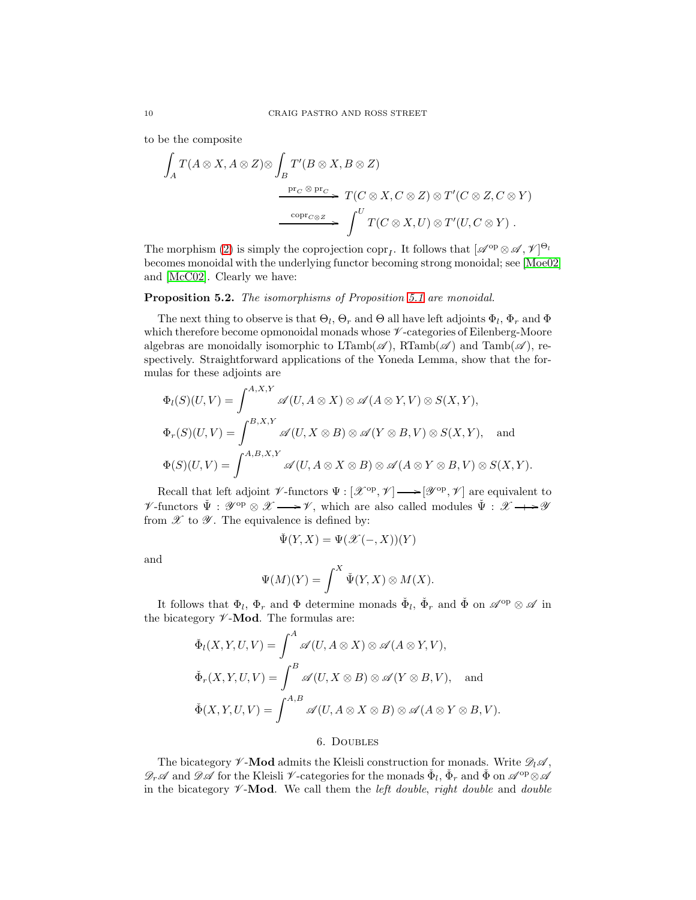to be the composite

$$
\int_A T(A \otimes X, A \otimes Z) \otimes \int_B T'(B \otimes X, B \otimes Z)
$$
\n
$$
\xrightarrow{\text{pr}_C \otimes \text{pr}_C} T(C \otimes X, C \otimes Z) \otimes T'(C \otimes Z, C \otimes Y)
$$
\n
$$
\xrightarrow{\text{copr}_{C \otimes Z}} \int^U T(C \otimes X, U) \otimes T'(U, C \otimes Y).
$$

The morphism [\(2\)](#page-8-1) is simply the coprojection copr<sub>I</sub>. It follows that  $[\mathscr{A}^{op} \otimes \mathscr{A}, \mathscr{V}]^{\Theta_l}$ becomes monoidal with the underlying functor becoming strong monoidal; see [\[Moe02\]](#page-12-7) and [\[McC02\]](#page-12-8). Clearly we have:

# Proposition 5.2. *The isomorphisms of Proposition [5.1](#page-8-2) are monoidal.*

The next thing to observe is that  $\Theta_l$ ,  $\Theta_r$  and  $\Theta$  all have left adjoints  $\Phi_l$ ,  $\Phi_r$  and  $\Phi$ which therefore become opmonoidal monads whose  $\mathscr V$ -categories of Eilenberg-Moore algebras are monoidally isomorphic to  $LTamb(\mathscr{A})$ ,  $RTamb(\mathscr{A})$  and  $Tamb(\mathscr{A})$ , respectively. Straightforward applications of the Yoneda Lemma, show that the formulas for these adjoints are

$$
\Phi_l(S)(U,V) = \int^{A,X,Y} \mathscr{A}(U, A \otimes X) \otimes \mathscr{A}(A \otimes Y, V) \otimes S(X,Y),
$$
  

$$
\Phi_r(S)(U,V) = \int^{B,X,Y} \mathscr{A}(U, X \otimes B) \otimes \mathscr{A}(Y \otimes B, V) \otimes S(X,Y), \text{ and}
$$
  

$$
\Phi(S)(U,V) = \int^{A,B,X,Y} \mathscr{A}(U, A \otimes X \otimes B) \otimes \mathscr{A}(A \otimes Y \otimes B, V) \otimes S(X,Y).
$$

Recall that left adjoint  $\mathscr V$ -functors  $\Psi : [\mathscr X^{\rm op}, \mathscr V] \longrightarrow [\mathscr Y^{\rm op}, \mathscr V]$  are equivalent to  $\not\!\mathscr{V}\text{-functors }\check{\Psi}: \mathscr{Y}^\mathrm{op}\otimes \mathscr{X}\longrightarrow \mathscr{V}, \text{ which are also called modules }\check{\Psi}: \mathscr{X}\longrightarrow \mathscr{Y}$ from  $\mathscr X$  to  $\mathscr Y$ . The equivalence is defined by:

$$
\check \Psi(Y,X)=\Psi(\mathscr X(-,X))(Y)
$$

and

$$
\Psi(M)(Y) = \int^X \check{\Psi}(Y,X) \otimes M(X).
$$

It follows that  $\Phi_l$ ,  $\Phi_r$  and  $\Phi$  determine monads  $\check{\Phi}_l$ ,  $\check{\Phi}_r$  and  $\check{\Phi}$  on  $\mathscr{A}^{\text{op}} \otimes \mathscr{A}$  in the bicategory  $\not\!\mathscr{V}\text{-}\mathbf{Mod}$ . The formulas are:

$$
\check{\Phi}_l(X, Y, U, V) = \int^A \mathscr{A}(U, A \otimes X) \otimes \mathscr{A}(A \otimes Y, V),
$$
  

$$
\check{\Phi}_r(X, Y, U, V) = \int^B \mathscr{A}(U, X \otimes B) \otimes \mathscr{A}(Y \otimes B, V), \text{ and}
$$
  

$$
\check{\Phi}(X, Y, U, V) = \int^{A, B} \mathscr{A}(U, A \otimes X \otimes B) \otimes \mathscr{A}(A \otimes Y \otimes B, V).
$$

## 6. Doubles

The bicategory  $\not\!\mathscr{V}\text{-}\mathbf{Mod}$  admits the Kleisli construction for monads. Write  $\mathscr{D}_l\mathscr{A}$ ,  $\mathscr{D}_r\mathscr{A}$  and  $\mathscr{D}\mathscr{A}$  for the Kleisli  $\mathscr{V}$ -categories for the monads  $\check{\Phi}_l$ ,  $\check{\Phi}_r$  and  $\check{\Phi}$  on  $\mathscr{A}^{op}\otimes\mathscr{A}$ in the bicategory  $\nu$ -**Mod**. We call them the *left double*, *right double* and *double*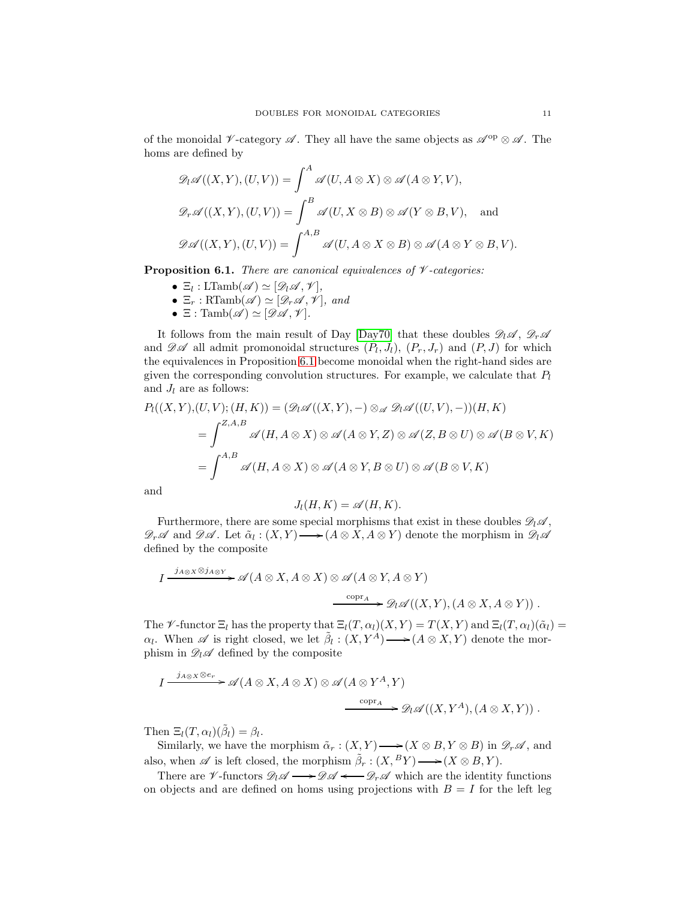of the monoidal V-category  $\mathscr A$ . They all have the same objects as  $\mathscr A^{\rm op}\otimes\mathscr A$ . The homs are defined by

$$
\mathcal{D}_l \mathscr{A}((X, Y), (U, V)) = \int^A \mathscr{A}(U, A \otimes X) \otimes \mathscr{A}(A \otimes Y, V),
$$
  

$$
\mathcal{D}_r \mathscr{A}((X, Y), (U, V)) = \int^B \mathscr{A}(U, X \otimes B) \otimes \mathscr{A}(Y \otimes B, V), \text{ and}
$$
  

$$
\mathcal{D}\mathscr{A}((X, Y), (U, V)) = \int^{A, B} \mathscr{A}(U, A \otimes X \otimes B) \otimes \mathscr{A}(A \otimes Y \otimes B, V).
$$

<span id="page-10-0"></span>Proposition 6.1. *There are canonical equivalences of* V *-categories:*

- $\Xi_l: \mathrm{LTamb}(\mathscr{A}) \simeq [\mathscr{D}_l \mathscr{A}, \mathscr{V}],$
- $\Xi_r$  : RTamb $(\mathscr{A}) \simeq [\mathscr{D}_r \mathscr{A}, \mathscr{V}]$ *, and*
- $\Xi$  : Tamb $(\mathscr{A}) \simeq [\mathscr{D}\mathscr{A}, \mathscr{V}]$ *.*

It follows from the main result of Day [\[Day70\]](#page-12-4) that these doubles  $\mathscr{D}_l \mathscr{A}$ ,  $\mathscr{D}_r \mathscr{A}$ and  $\mathscr{D}\mathscr{A}$  all admit promonoidal structures  $(P_l, J_l)$ ,  $(P_r, J_r)$  and  $(P, J)$  for which the equivalences in Proposition [6.1](#page-10-0) become monoidal when the right-hand sides are given the corresponding convolution structures. For example, we calculate that  $P_l$ and  $J_l$  are as follows:

$$
P_l((X, Y), (U, V); (H, K)) = (\mathscr{D}_l \mathscr{A}((X, Y), -) \otimes_{\mathscr{A}} \mathscr{D}_l \mathscr{A}((U, V), -))(H, K)
$$
  
= 
$$
\int^{Z, A, B} \mathscr{A}(H, A \otimes X) \otimes \mathscr{A}(A \otimes Y, Z) \otimes \mathscr{A}(Z, B \otimes U) \otimes \mathscr{A}(B \otimes V, K)
$$
  
= 
$$
\int^{A, B} \mathscr{A}(H, A \otimes X) \otimes \mathscr{A}(A \otimes Y, B \otimes U) \otimes \mathscr{A}(B \otimes V, K)
$$

and

$$
J_l(H, K) = \mathscr{A}(H, K).
$$

Furthermore, there are some special morphisms that exist in these doubles  $\mathscr{D}_l\mathscr{A}$ ,  $\mathscr{D}_r\mathscr{A}$  and  $\mathscr{D}\mathscr{A}$ . Let  $\tilde{\alpha}_l:(X,Y) \longrightarrow (A\otimes X, A\otimes Y)$  denote the morphism in  $\mathscr{D}_l\mathscr{A}$ defined by the composite

$$
I \xrightarrow{j_{A\otimes X}\otimes j_{A\otimes Y}} \mathscr{A}(A\otimes X, A\otimes X) \otimes \mathscr{A}(A\otimes Y, A\otimes Y)
$$
  

$$
\xrightarrow{\text{copr}_A} \mathscr{D}_l \mathscr{A}((X,Y), (A\otimes X, A\otimes Y)) .
$$

The V-functor  $\Xi_l$  has the property that  $\Xi_l(T, \alpha_l)(X, Y) = T(X, Y)$  and  $\Xi_l(T, \alpha_l)(\tilde{\alpha}_l) =$  $\alpha_l$ . When  $\mathscr A$  is right closed, we let  $\tilde{\beta}_l : (X, Y^A) \longrightarrow (A \otimes X, Y)$  denote the morphism in  $\mathscr{D}_l \mathscr{A}$  defined by the composite

$$
I \xrightarrow{j_{A\otimes X}\otimes e_r} \mathscr{A}(A\otimes X, A\otimes X) \otimes \mathscr{A}(A\otimes Y^A, Y)
$$
  

$$
\xrightarrow{\text{copr}_A} \mathscr{D}_l \mathscr{A}((X, Y^A), (A\otimes X, Y)) .
$$

Then  $\Xi_l(T, \alpha_l)(\tilde{\beta}_l) = \beta_l$ .

Similarly, we have the morphism  $\tilde{\alpha}_r : (X, Y) \longrightarrow (X \otimes B, Y \otimes B)$  in  $\mathscr{D}_r \mathscr{A}$ , and also, when  $\mathscr A$  is left closed, the morphism  $\tilde{\beta}_r : (X, {}^B Y) \longrightarrow (X \otimes B, Y)$ .

There are  $\mathscr{V}$ -functors  $\mathscr{D}_l \mathscr{A} \longrightarrow \mathscr{D} \mathscr{A} \longrightarrow \mathscr{D}_r \mathscr{A}$  which are the identity functions on objects and are defined on homs using projections with  $B = I$  for the left leg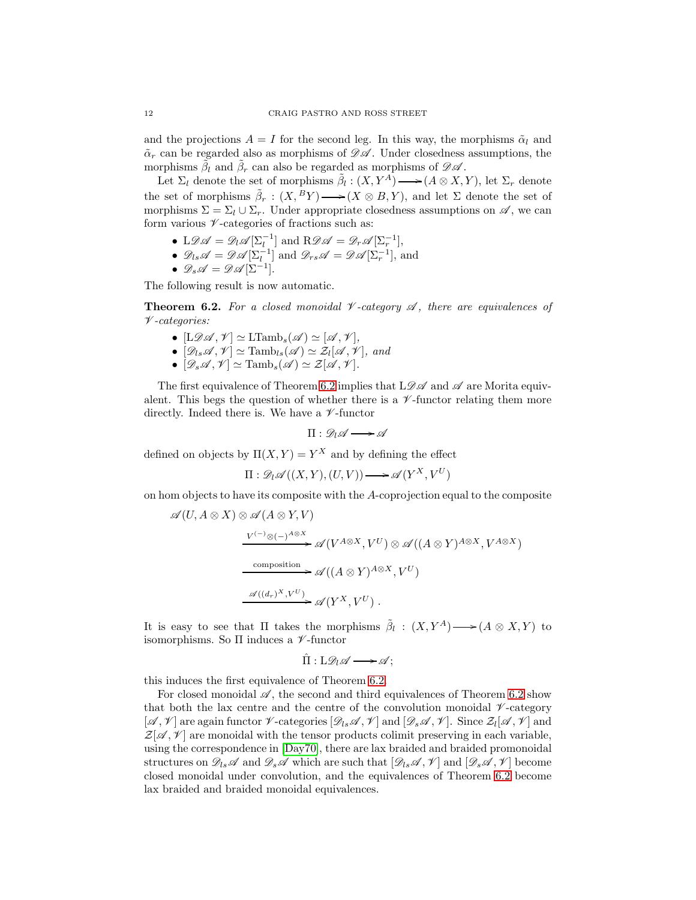and the projections  $A = I$  for the second leg. In this way, the morphisms  $\tilde{\alpha}_l$  and  $\tilde{\alpha}_r$  can be regarded also as morphisms of  $\mathscr{D}\mathscr{A}$ . Under closedness assumptions, the morphisms  $\tilde{\beta}_l$  and  $\tilde{\beta}_r$  can also be regarded as morphisms of  $\mathscr{D}\mathscr{A}$ .

Let  $\Sigma_l$  denote the set of morphisms  $\tilde{\beta}_l : (X, Y^A) \longrightarrow (A \otimes X, Y)$ , let  $\Sigma_r$  denote the set of morphisms  $\tilde{\beta}_r : (X, {}^B Y) \longrightarrow (X \otimes B, Y)$ , and let  $\Sigma$  denote the set of morphisms  $\Sigma = \Sigma_l \cup \Sigma_r$ . Under appropriate closedness assumptions on  $\mathscr{A}$ , we can form various  $\nu$ -categories of fractions such as:

- L $\mathscr{D}\mathscr{A} = \mathscr{D}_l \mathscr{A}[\Sigma_l^{-1}]$  and  $\mathsf{R}\mathscr{D}\mathscr{A} = \mathscr{D}_r \mathscr{A}[\Sigma_r^{-1}],$
- $\mathscr{D}_{ls}\mathscr{A}=\mathscr{D}\mathscr{A}[\Sigma_l^{-1}]$  and  $\mathscr{D}_{rs}\mathscr{A}=\mathscr{D}\mathscr{A}[\Sigma_r^{-1}],$  and
- $\mathscr{D}_s\mathscr{A}=\mathscr{D}\mathscr{A}[\Sigma^{-1}].$

The following result is now automatic.

<span id="page-11-0"></span>**Theorem 6.2.** For a closed monoidal  $\mathcal V$ -category  $\mathcal A$ , there are equivalences of V *-categories:*

- $[L\mathscr{D}\mathscr{A}, \mathscr{V}] \simeq \text{LTamb}_{s}(\mathscr{A}) \simeq [\mathscr{A}, \mathscr{V}],$
- $[\mathscr{D}_{ls}\mathscr{A}, \mathscr{V}] \simeq \text{Tamb}_{ls}(\mathscr{A}) \simeq \mathcal{Z}_l[\mathscr{A}, \mathscr{V}],$  and
- $[\mathscr{D}_s\mathscr{A},\mathscr{V}] \simeq \text{Tamb}_s(\mathscr{A}) \simeq \mathcal{Z}[\mathscr{A},\mathscr{V}].$

The first equivalence of Theorem [6.2](#page-11-0) implies that  $L\mathscr{D}\mathscr{A}$  and  $\mathscr{A}$  are Morita equivalent. This begs the question of whether there is a  $\nu$ -functor relating them more directly. Indeed there is. We have a  $\nu$ -functor

$$
\Pi:\mathscr{D}_l\mathscr{A}\longrightarrow\mathscr{A}
$$

defined on objects by  $\Pi(X, Y) = Y^X$  and by defining the effect

$$
\Pi: \mathcal{D}_l \mathscr{A}((X, Y), (U, V)) \longrightarrow \mathscr{A}(Y^X, V^U)
$$

on hom objects to have its composite with the A-coprojection equal to the composite

$$
\mathscr{A}(U, A \otimes X) \otimes \mathscr{A}(A \otimes Y, V)
$$
\n
$$
\xrightarrow[V^{(-)} \otimes (-)^{A \otimes X}]{} \mathscr{A}(V^{A \otimes X}, V^{U}) \otimes \mathscr{A}((A \otimes Y)^{A \otimes X}, V^{A \otimes X})
$$
\n
$$
\xrightarrow{\text{composition}}{} \mathscr{A}((A \otimes Y)^{A \otimes X}, V^{U})
$$
\n
$$
\xrightarrow{\mathscr{A}((d_r)^{X}, V^{U})}{} \mathscr{A}(Y^{X}, V^{U}).
$$

It is easy to see that  $\Pi$  takes the morphisms  $\tilde{\beta}_l : (X, Y^A) \longrightarrow (A \otimes X, Y)$  to isomorphisms. So  $\Pi$  induces a  $\nu$ -functor

 $\hat{\Pi}: \mathrm{L}\mathscr{D}_L \mathscr{A} \longrightarrow \mathscr{A}$ :

this induces the first equivalence of Theorem [6.2.](#page-11-0)

For closed monoidal  $\mathscr A$ , the second and third equivalences of Theorem [6.2](#page-11-0) show that both the lax centre and the centre of the convolution monoidal  $\mathcal V$ -category  $[\mathscr{A}, \mathscr{V}]$  are again functor  $\mathscr{V}\text{-categories }[\mathscr{D}_l, \mathscr{A}, \mathscr{V}]$  and  $[\mathscr{D}_s \mathscr{A}, \mathscr{V}]$ . Since  $\mathcal{Z}_l[\mathscr{A}, \mathscr{V}]$  and  $\mathcal{Z}[\mathscr{A}, \mathscr{V}]$  are monoidal with the tensor products colimit preserving in each variable, using the correspondence in [\[Day70\]](#page-12-4), there are lax braided and braided promonoidal structures on  $\mathscr{D}_{ls}\mathscr{A}$  and  $\mathscr{D}_{s}\mathscr{A}$  which are such that  $[\mathscr{D}_{ls}\mathscr{A},\mathscr{V}]$  and  $[\mathscr{D}_{s}\mathscr{A},\mathscr{V}]$  become closed monoidal under convolution, and the equivalences of Theorem [6.2](#page-11-0) become lax braided and braided monoidal equivalences.